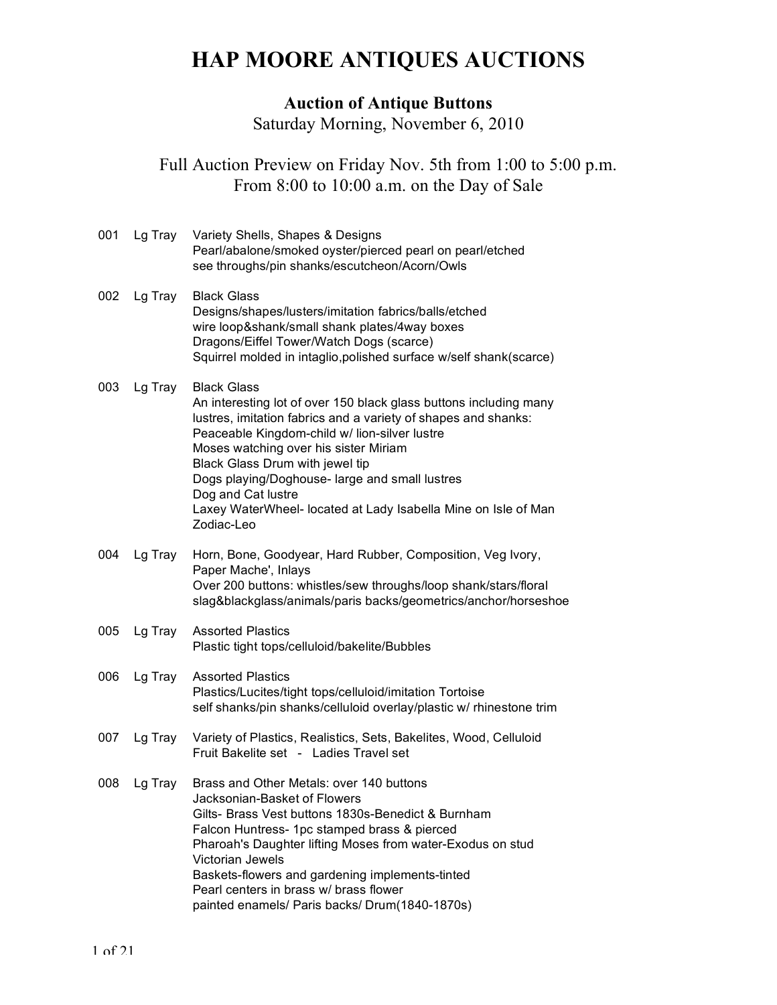# **HAP MOORE ANTIQUES AUCTIONS**

#### **Auction of Antique Buttons**

Saturday Morning, November 6, 2010

Full Auction Preview on Friday Nov. 5th from 1:00 to 5:00 p.m. From 8:00 to 10:00 a.m. on the Day of Sale

| 001 | Lg Tray | Variety Shells, Shapes & Designs<br>Pearl/abalone/smoked oyster/pierced pearl on pearl/etched<br>see throughs/pin shanks/escutcheon/Acorn/Owls                                                                                                                                                                                                                                                                                                 |
|-----|---------|------------------------------------------------------------------------------------------------------------------------------------------------------------------------------------------------------------------------------------------------------------------------------------------------------------------------------------------------------------------------------------------------------------------------------------------------|
| 002 | Lg Tray | <b>Black Glass</b><br>Designs/shapes/lusters/imitation fabrics/balls/etched<br>wire loop&shank/small shank plates/4way boxes<br>Dragons/Eiffel Tower/Watch Dogs (scarce)<br>Squirrel molded in intaglio, polished surface w/self shank(scarce)                                                                                                                                                                                                 |
| 003 | Lg Tray | <b>Black Glass</b><br>An interesting lot of over 150 black glass buttons including many<br>lustres, imitation fabrics and a variety of shapes and shanks:<br>Peaceable Kingdom-child w/ lion-silver lustre<br>Moses watching over his sister Miriam<br>Black Glass Drum with jewel tip<br>Dogs playing/Doghouse- large and small lustres<br>Dog and Cat lustre<br>Laxey WaterWheel- located at Lady Isabella Mine on Isle of Man<br>Zodiac-Leo |
| 004 | Lg Tray | Horn, Bone, Goodyear, Hard Rubber, Composition, Veg Ivory,<br>Paper Mache', Inlays<br>Over 200 buttons: whistles/sew throughs/loop shank/stars/floral<br>slag&blackglass/animals/paris backs/geometrics/anchor/horseshoe                                                                                                                                                                                                                       |
| 005 | Lg Tray | <b>Assorted Plastics</b><br>Plastic tight tops/celluloid/bakelite/Bubbles                                                                                                                                                                                                                                                                                                                                                                      |
| 006 | Lg Tray | <b>Assorted Plastics</b><br>Plastics/Lucites/tight tops/celluloid/imitation Tortoise<br>self shanks/pin shanks/celluloid overlay/plastic w/ rhinestone trim                                                                                                                                                                                                                                                                                    |
| 007 | Lg Tray | Variety of Plastics, Realistics, Sets, Bakelites, Wood, Celluloid<br>Fruit Bakelite set - Ladies Travel set                                                                                                                                                                                                                                                                                                                                    |
| 008 | Lg Tray | Brass and Other Metals: over 140 buttons<br>Jacksonian-Basket of Flowers<br>Gilts- Brass Vest buttons 1830s-Benedict & Burnham<br>Falcon Huntress- 1pc stamped brass & pierced<br>Pharoah's Daughter lifting Moses from water-Exodus on stud<br>Victorian Jewels<br>Baskets-flowers and gardening implements-tinted<br>Pearl centers in brass w/ brass flower<br>painted enamels/ Paris backs/ Drum(1840-1870s)                                |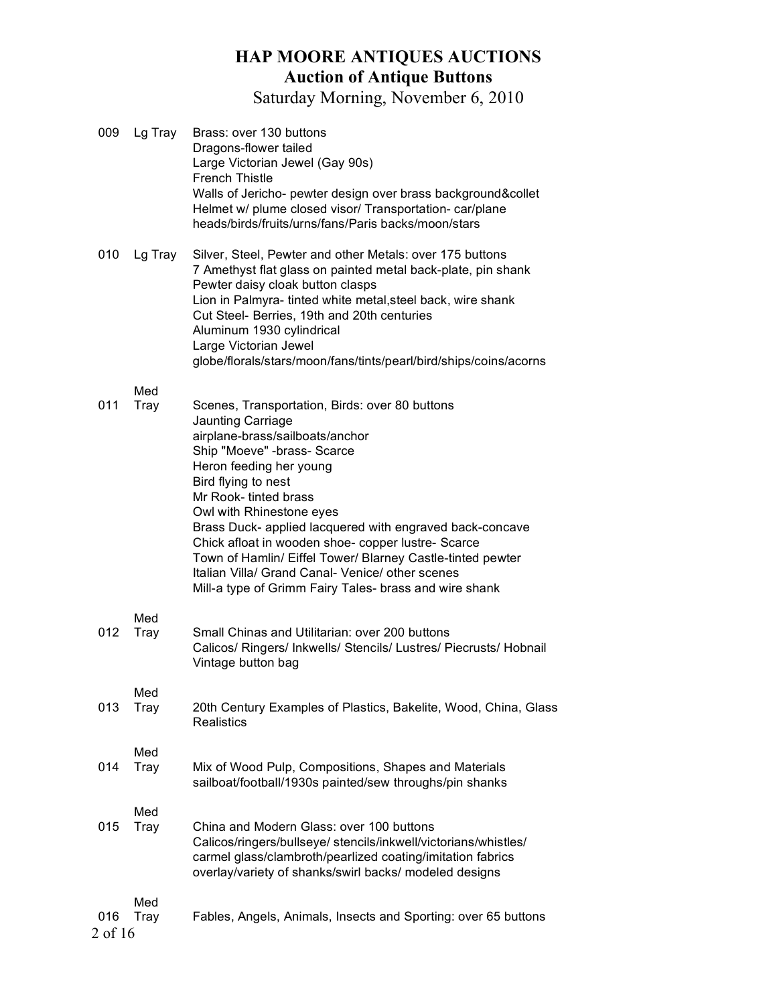| 009            | Lg Tray            | Brass: over 130 buttons<br>Dragons-flower tailed<br>Large Victorian Jewel (Gay 90s)<br><b>French Thistle</b><br>Walls of Jericho- pewter design over brass background&collet<br>Helmet w/ plume closed visor/ Transportation- car/plane<br>heads/birds/fruits/urns/fans/Paris backs/moon/stars                                                                                                                                                                                                                                             |
|----------------|--------------------|--------------------------------------------------------------------------------------------------------------------------------------------------------------------------------------------------------------------------------------------------------------------------------------------------------------------------------------------------------------------------------------------------------------------------------------------------------------------------------------------------------------------------------------------|
| 010            | Lg Tray            | Silver, Steel, Pewter and other Metals: over 175 buttons<br>7 Amethyst flat glass on painted metal back-plate, pin shank<br>Pewter daisy cloak button clasps<br>Lion in Palmyra- tinted white metal, steel back, wire shank<br>Cut Steel- Berries, 19th and 20th centuries<br>Aluminum 1930 cylindrical<br>Large Victorian Jewel<br>globe/florals/stars/moon/fans/tints/pearl/bird/ships/coins/acorns                                                                                                                                      |
| 011            | Med<br><b>Tray</b> | Scenes, Transportation, Birds: over 80 buttons<br>Jaunting Carriage<br>airplane-brass/sailboats/anchor<br>Ship "Moeve" -brass- Scarce<br>Heron feeding her young<br>Bird flying to nest<br>Mr Rook- tinted brass<br>Owl with Rhinestone eyes<br>Brass Duck- applied lacquered with engraved back-concave<br>Chick afloat in wooden shoe- copper lustre- Scarce<br>Town of Hamlin/ Eiffel Tower/ Blarney Castle-tinted pewter<br>Italian Villa/ Grand Canal- Venice/ other scenes<br>Mill-a type of Grimm Fairy Tales- brass and wire shank |
| 012            | Med<br>Tray        | Small Chinas and Utilitarian: over 200 buttons<br>Calicos/ Ringers/ Inkwells/ Stencils/ Lustres/ Piecrusts/ Hobnail<br>Vintage button bag                                                                                                                                                                                                                                                                                                                                                                                                  |
| 013            | Med<br>Tray        | 20th Century Examples of Plastics, Bakelite, Wood, China, Glass<br><b>Realistics</b>                                                                                                                                                                                                                                                                                                                                                                                                                                                       |
| 014            | Med<br>Tray        | Mix of Wood Pulp, Compositions, Shapes and Materials<br>sailboat/football/1930s painted/sew throughs/pin shanks                                                                                                                                                                                                                                                                                                                                                                                                                            |
| 015            | Med<br>Tray        | China and Modern Glass: over 100 buttons<br>Calicos/ringers/bullseye/ stencils/inkwell/victorians/whistles/<br>carmel glass/clambroth/pearlized coating/imitation fabrics<br>overlay/variety of shanks/swirl backs/ modeled designs                                                                                                                                                                                                                                                                                                        |
| 016<br>2 of 16 | Med<br>Tray        | Fables, Angels, Animals, Insects and Sporting: over 65 buttons                                                                                                                                                                                                                                                                                                                                                                                                                                                                             |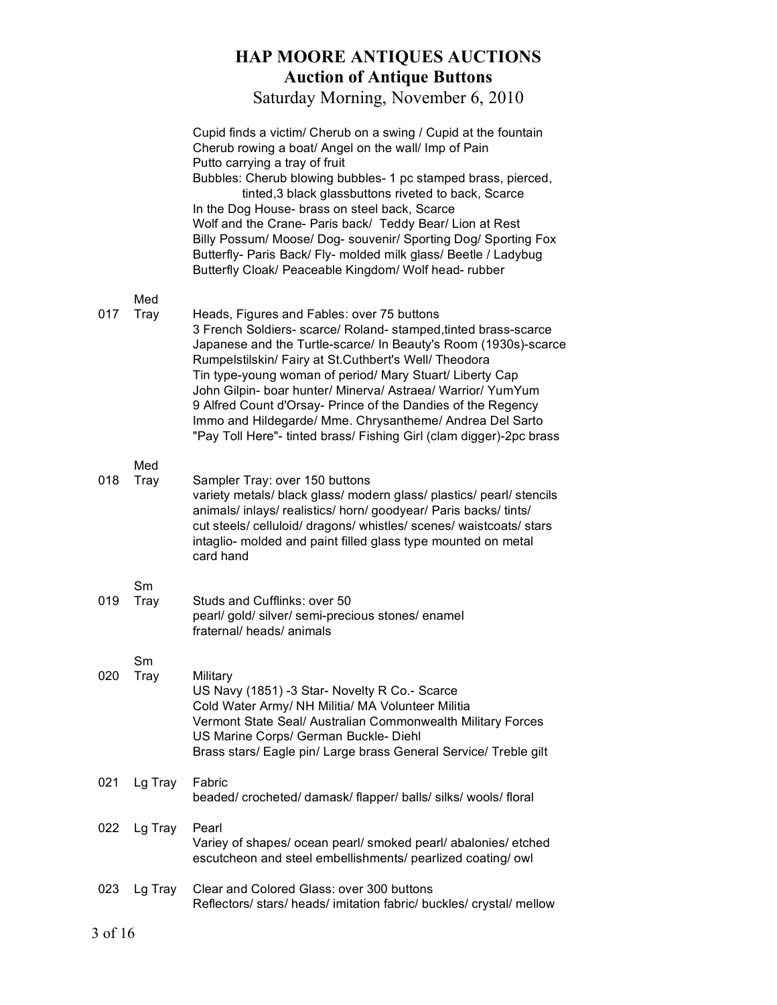|     |             | Cupid finds a victim/ Cherub on a swing / Cupid at the fountain<br>Cherub rowing a boat/ Angel on the wall/ Imp of Pain<br>Putto carrying a tray of fruit                                                                                                                                                                                                                                                                                                                                                                                                               |
|-----|-------------|-------------------------------------------------------------------------------------------------------------------------------------------------------------------------------------------------------------------------------------------------------------------------------------------------------------------------------------------------------------------------------------------------------------------------------------------------------------------------------------------------------------------------------------------------------------------------|
|     |             | Bubbles: Cherub blowing bubbles- 1 pc stamped brass, pierced,<br>tinted, 3 black glassbuttons riveted to back, Scarce<br>In the Dog House- brass on steel back, Scarce<br>Wolf and the Crane- Paris back/ Teddy Bear/ Lion at Rest<br>Billy Possum/ Moose/ Dog- souvenir/ Sporting Dog/ Sporting Fox<br>Butterfly- Paris Back/ Fly- molded milk glass/ Beetle / Ladybug<br>Butterfly Cloak/ Peaceable Kingdom/ Wolf head-rubber                                                                                                                                         |
| 017 | Med<br>Tray | Heads, Figures and Fables: over 75 buttons<br>3 French Soldiers- scarce/ Roland- stamped, tinted brass-scarce<br>Japanese and the Turtle-scarce/ In Beauty's Room (1930s)-scarce<br>Rumpelstilskin/ Fairy at St.Cuthbert's Well/ Theodora<br>Tin type-young woman of period/ Mary Stuart/ Liberty Cap<br>John Gilpin- boar hunter/ Minerva/ Astraea/ Warrior/ YumYum<br>9 Alfred Count d'Orsay- Prince of the Dandies of the Regency<br>Immo and Hildegarde/ Mme. Chrysantheme/ Andrea Del Sarto<br>"Pay Toll Here"- tinted brass/ Fishing Girl (clam digger)-2pc brass |
| 018 | Med<br>Tray | Sampler Tray: over 150 buttons<br>variety metals/ black glass/ modern glass/ plastics/ pearl/ stencils<br>animals/ inlays/ realistics/ horn/ goodyear/ Paris backs/ tints/<br>cut steels/celluloid/dragons/whistles/scenes/waistcoats/stars<br>intaglio- molded and paint filled glass type mounted on metal<br>card hand                                                                                                                                                                                                                                               |
| 019 | Sm<br>Tray  | Studs and Cufflinks: over 50<br>pearl/ gold/ silver/ semi-precious stones/ enamel<br>fraternal/heads/animals                                                                                                                                                                                                                                                                                                                                                                                                                                                            |
| 020 | Sm<br>Tray  | Military<br>US Navy (1851) -3 Star- Novelty R Co.- Scarce<br>Cold Water Army/ NH Militia/ MA Volunteer Militia<br>Vermont State Seal/ Australian Commonwealth Military Forces<br>US Marine Corps/ German Buckle- Diehl<br>Brass stars/ Eagle pin/ Large brass General Service/ Treble gilt                                                                                                                                                                                                                                                                              |
| 021 | Lg Tray     | Fabric<br>beaded/crocheted/damask/flapper/balls/silks/wools/floral                                                                                                                                                                                                                                                                                                                                                                                                                                                                                                      |
| 022 | Lg Tray     | Pearl<br>Variey of shapes/ ocean pearl/ smoked pearl/ abalonies/ etched<br>escutcheon and steel embellishments/ pearlized coating/ owl                                                                                                                                                                                                                                                                                                                                                                                                                                  |
| 023 | Lg Tray     | Clear and Colored Glass: over 300 buttons<br>Reflectors/ stars/ heads/ imitation fabric/ buckles/ crystal/ mellow                                                                                                                                                                                                                                                                                                                                                                                                                                                       |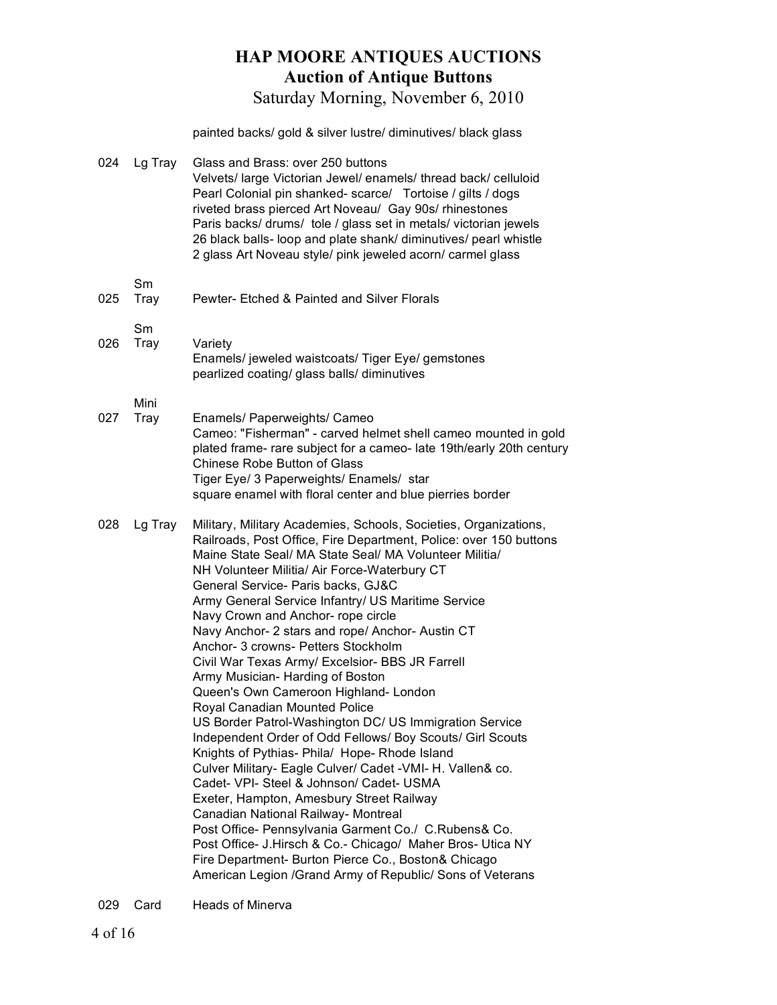Saturday Morning, November 6, 2010

painted backs/ gold & silver lustre/ diminutives/ black glass

| 024 | Lg Tray      | Glass and Brass: over 250 buttons<br>Velvets/ large Victorian Jewel/ enamels/ thread back/ celluloid<br>Pearl Colonial pin shanked- scarce/ Tortoise / gilts / dogs<br>riveted brass pierced Art Noveau/ Gay 90s/ rhinestones<br>Paris backs/ drums/ tole / glass set in metals/ victorian jewels<br>26 black balls- loop and plate shank/ diminutives/ pearl whistle<br>2 glass Art Noveau style/ pink jeweled acorn/ carmel glass                                                                                                                                                                                                                                                                                                                                                                                                                                                                                                                                                                                                                                                                                                                                                                                                                            |
|-----|--------------|----------------------------------------------------------------------------------------------------------------------------------------------------------------------------------------------------------------------------------------------------------------------------------------------------------------------------------------------------------------------------------------------------------------------------------------------------------------------------------------------------------------------------------------------------------------------------------------------------------------------------------------------------------------------------------------------------------------------------------------------------------------------------------------------------------------------------------------------------------------------------------------------------------------------------------------------------------------------------------------------------------------------------------------------------------------------------------------------------------------------------------------------------------------------------------------------------------------------------------------------------------------|
| 025 | Sm<br>Tray   | Pewter- Etched & Painted and Silver Florals                                                                                                                                                                                                                                                                                                                                                                                                                                                                                                                                                                                                                                                                                                                                                                                                                                                                                                                                                                                                                                                                                                                                                                                                                    |
| 026 | Sm<br>Tray   | Variety<br>Enamels/ jeweled waistcoats/ Tiger Eye/ gemstones<br>pearlized coating/ glass balls/ diminutives                                                                                                                                                                                                                                                                                                                                                                                                                                                                                                                                                                                                                                                                                                                                                                                                                                                                                                                                                                                                                                                                                                                                                    |
| 027 | Mini<br>Tray | Enamels/ Paperweights/ Cameo<br>Cameo: "Fisherman" - carved helmet shell cameo mounted in gold<br>plated frame- rare subject for a cameo- late 19th/early 20th century<br>Chinese Robe Button of Glass<br>Tiger Eye/ 3 Paperweights/ Enamels/ star<br>square enamel with floral center and blue pierries border                                                                                                                                                                                                                                                                                                                                                                                                                                                                                                                                                                                                                                                                                                                                                                                                                                                                                                                                                |
| 028 | Lg Tray      | Military, Military Academies, Schools, Societies, Organizations,<br>Railroads, Post Office, Fire Department, Police: over 150 buttons<br>Maine State Seal/ MA State Seal/ MA Volunteer Militia/<br>NH Volunteer Militia/ Air Force-Waterbury CT<br>General Service- Paris backs, GJ&C<br>Army General Service Infantry/ US Maritime Service<br>Navy Crown and Anchor- rope circle<br>Navy Anchor- 2 stars and rope/ Anchor- Austin CT<br>Anchor- 3 crowns- Petters Stockholm<br>Civil War Texas Army/ Excelsior- BBS JR Farrell<br>Army Musician- Harding of Boston<br>Queen's Own Cameroon Highland- London<br>Royal Canadian Mounted Police<br>US Border Patrol-Washington DC/ US Immigration Service<br>Independent Order of Odd Fellows/ Boy Scouts/ Girl Scouts<br>Knights of Pythias- Phila/ Hope- Rhode Island<br>Culver Military- Eagle Culver/ Cadet - VMI- H. Vallen& co.<br>Cadet- VPI- Steel & Johnson/ Cadet- USMA<br>Exeter, Hampton, Amesbury Street Railway<br>Canadian National Railway- Montreal<br>Post Office- Pennsylvania Garment Co./ C.Rubens& Co.<br>Post Office- J. Hirsch & Co.- Chicago/ Maher Bros- Utica NY<br>Fire Department- Burton Pierce Co., Boston& Chicago<br>American Legion / Grand Army of Republic/ Sons of Veterans |

029 Card Heads of Minerva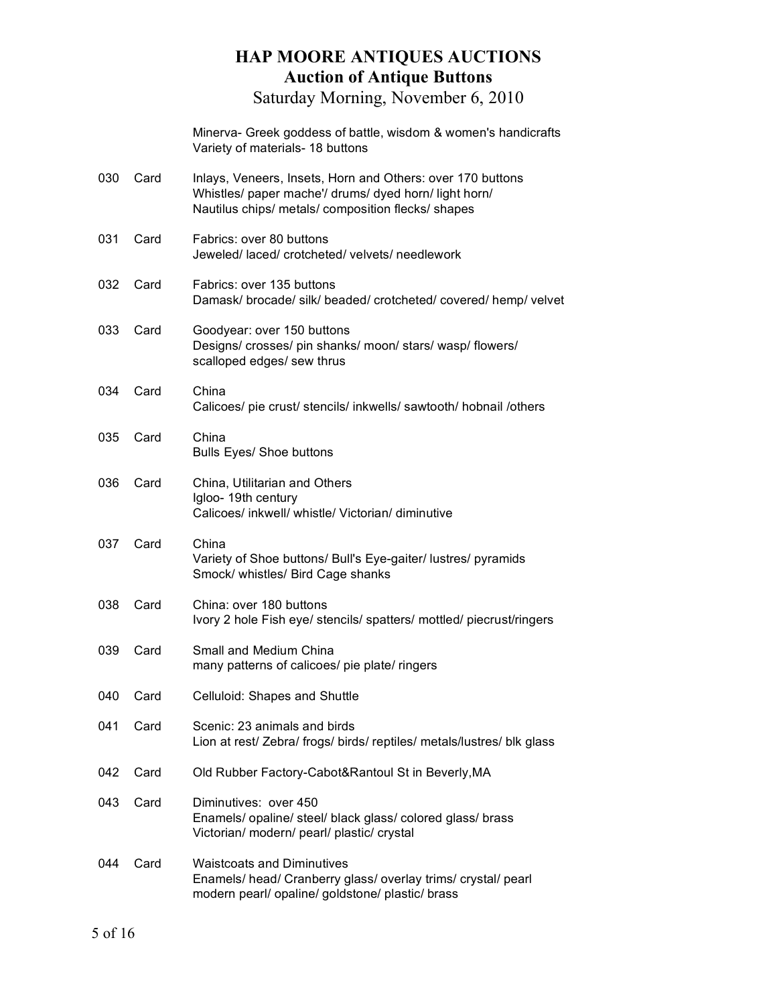|     |      | Minerva- Greek goddess of battle, wisdom & women's handicrafts<br>Variety of materials- 18 buttons                                                                        |
|-----|------|---------------------------------------------------------------------------------------------------------------------------------------------------------------------------|
| 030 | Card | Inlays, Veneers, Insets, Horn and Others: over 170 buttons<br>Whistles/ paper mache'/ drums/ dyed horn/ light horn/<br>Nautilus chips/ metals/ composition flecks/ shapes |
| 031 | Card | Fabrics: over 80 buttons<br>Jeweled/ laced/ crotcheted/ velvets/ needlework                                                                                               |
| 032 | Card | Fabrics: over 135 buttons<br>Damask/ brocade/ silk/ beaded/ crotcheted/ covered/ hemp/ velvet                                                                             |
| 033 | Card | Goodyear: over 150 buttons<br>Designs/crosses/pin shanks/moon/stars/wasp/flowers/<br>scalloped edges/ sew thrus                                                           |
| 034 | Card | China<br>Calicoes/ pie crust/ stencils/ inkwells/ sawtooth/ hobnail /others                                                                                               |
| 035 | Card | China<br>Bulls Eyes/ Shoe buttons                                                                                                                                         |
| 036 | Card | China, Utilitarian and Others<br>Igloo- 19th century<br>Calicoes/ inkwell/ whistle/ Victorian/ diminutive                                                                 |
| 037 | Card | China<br>Variety of Shoe buttons/ Bull's Eye-gaiter/ lustres/ pyramids<br>Smock/ whistles/ Bird Cage shanks                                                               |
| 038 | Card | China: over 180 buttons<br>Ivory 2 hole Fish eye/ stencils/ spatters/ mottled/ piecrust/ringers                                                                           |
| 039 | Card | Small and Medium China<br>many patterns of calicoes/ pie plate/ ringers                                                                                                   |
| 040 | Card | Celluloid: Shapes and Shuttle                                                                                                                                             |
| 041 | Card | Scenic: 23 animals and birds<br>Lion at rest/ Zebra/ frogs/ birds/ reptiles/ metals/lustres/ blk glass                                                                    |
| 042 | Card | Old Rubber Factory-Cabot&Rantoul St in Beverly, MA                                                                                                                        |
| 043 | Card | Diminutives: over 450<br>Enamels/ opaline/ steel/ black glass/ colored glass/ brass<br>Victorian/ modern/ pearl/ plastic/ crystal                                         |
| 044 | Card | <b>Waistcoats and Diminutives</b><br>Enamels/ head/ Cranberry glass/ overlay trims/ crystal/ pearl<br>modern pearl/ opaline/ goldstone/ plastic/ brass                    |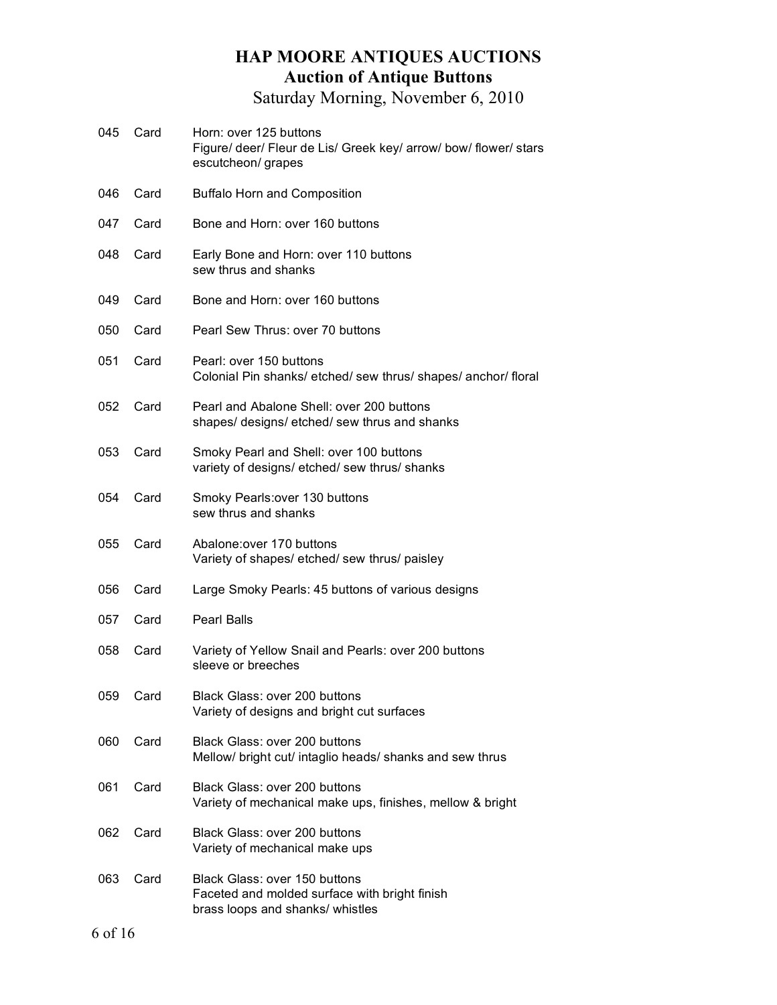- 045 Card Horn: over 125 buttons Figure/ deer/ Fleur de Lis/ Greek key/ arrow/ bow/ flower/ stars escutcheon/ grapes 046 Card Buffalo Horn and Composition 047 Card Bone and Horn: over 160 buttons 048 Card Early Bone and Horn: over 110 buttons sew thrus and shanks 049 Card Bone and Horn: over 160 buttons 050 Card Pearl Sew Thrus: over 70 buttons 051 Card Pearl: over 150 buttons Colonial Pin shanks/ etched/ sew thrus/ shapes/ anchor/ floral 052 Card Pearl and Abalone Shell: over 200 buttons shapes/ designs/ etched/ sew thrus and shanks
- 053 Card Smoky Pearl and Shell: over 100 buttons variety of designs/ etched/ sew thrus/ shanks
- 054 Card Smoky Pearls:over 130 buttons sew thrus and shanks
- 055 Card Abalone:over 170 buttons Variety of shapes/ etched/ sew thrus/ paisley
- 056 Card Large Smoky Pearls: 45 buttons of various designs
- 057 Card Pearl Balls
- 058 Card Variety of Yellow Snail and Pearls: over 200 buttons sleeve or breeches
- 059 Card Black Glass: over 200 buttons Variety of designs and bright cut surfaces
- 060 Card Black Glass: over 200 buttons Mellow/ bright cut/ intaglio heads/ shanks and sew thrus 061 Card Black Glass: over 200 buttons
- Variety of mechanical make ups, finishes, mellow & bright
- 062 Card Black Glass: over 200 buttons Variety of mechanical make ups
- 063 Card Black Glass: over 150 buttons Faceted and molded surface with bright finish brass loops and shanks/ whistles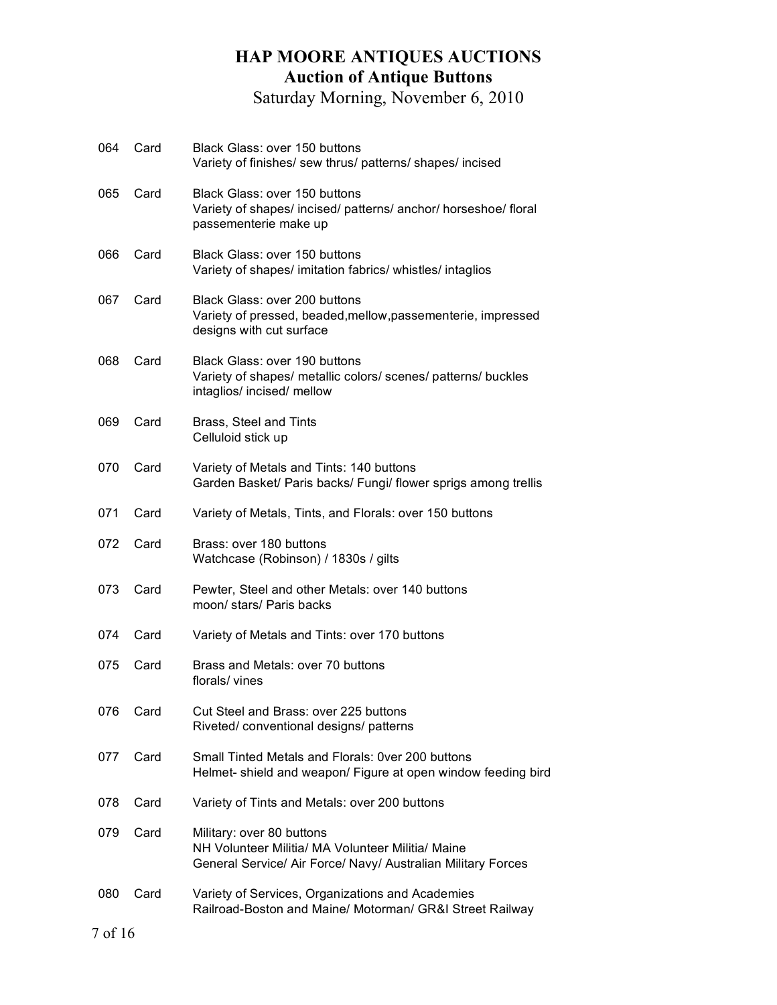| 064 | Card | Black Glass: over 150 buttons<br>Variety of finishes/ sew thrus/ patterns/ shapes/ incised                                                     |  |  |  |
|-----|------|------------------------------------------------------------------------------------------------------------------------------------------------|--|--|--|
| 065 | Card | Black Glass: over 150 buttons<br>Variety of shapes/ incised/ patterns/ anchor/ horseshoe/ floral<br>passementerie make up                      |  |  |  |
| 066 | Card | Black Glass: over 150 buttons<br>Variety of shapes/ imitation fabrics/ whistles/ intaglios                                                     |  |  |  |
| 067 | Card | Black Glass: over 200 buttons<br>Variety of pressed, beaded, mellow, passementerie, impressed<br>designs with cut surface                      |  |  |  |
| 068 | Card | Black Glass: over 190 buttons<br>Variety of shapes/ metallic colors/ scenes/ patterns/ buckles<br>intaglios/ incised/ mellow                   |  |  |  |
| 069 | Card | Brass, Steel and Tints<br>Celluloid stick up                                                                                                   |  |  |  |
| 070 | Card | Variety of Metals and Tints: 140 buttons<br>Garden Basket/ Paris backs/ Fungi/ flower sprigs among trellis                                     |  |  |  |
| 071 | Card | Variety of Metals, Tints, and Florals: over 150 buttons                                                                                        |  |  |  |
| 072 | Card | Brass: over 180 buttons<br>Watchcase (Robinson) / 1830s / gilts                                                                                |  |  |  |
| 073 | Card | Pewter, Steel and other Metals: over 140 buttons<br>moon/ stars/ Paris backs                                                                   |  |  |  |
| 074 | Card | Variety of Metals and Tints: over 170 buttons                                                                                                  |  |  |  |
| 075 | Card | Brass and Metals: over 70 buttons<br>florals/ vines                                                                                            |  |  |  |
| 076 | Card | Cut Steel and Brass: over 225 buttons<br>Riveted/conventional designs/patterns                                                                 |  |  |  |
| 077 | Card | Small Tinted Metals and Florals: Over 200 buttons<br>Helmet- shield and weapon/ Figure at open window feeding bird                             |  |  |  |
| 078 | Card | Variety of Tints and Metals: over 200 buttons                                                                                                  |  |  |  |
| 079 | Card | Military: over 80 buttons<br>NH Volunteer Militia/ MA Volunteer Militia/ Maine<br>General Service/ Air Force/ Navy/ Australian Military Forces |  |  |  |
| 080 | Card | Variety of Services, Organizations and Academies<br>Railroad-Boston and Maine/ Motorman/ GR&I Street Railway                                   |  |  |  |
|     |      | 7 of 16                                                                                                                                        |  |  |  |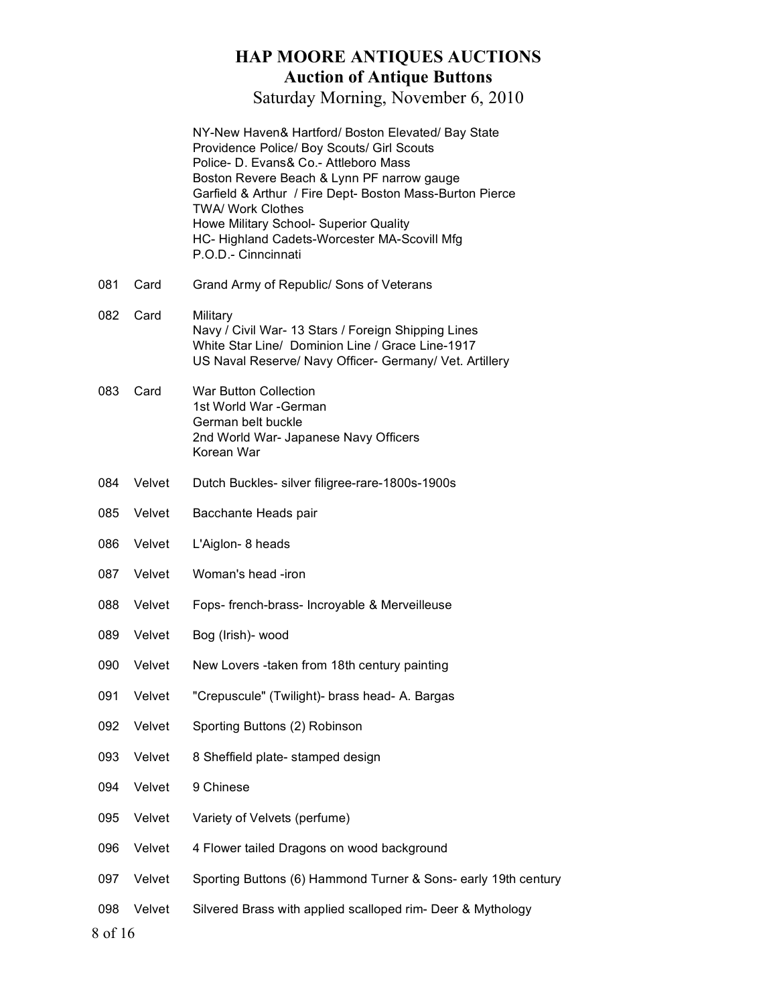|                |        | NY-New Haven& Hartford/ Boston Elevated/ Bay State<br>Providence Police/ Boy Scouts/ Girl Scouts<br>Police- D. Evans& Co.- Attleboro Mass<br>Boston Revere Beach & Lynn PF narrow gauge<br>Garfield & Arthur / Fire Dept- Boston Mass-Burton Pierce<br><b>TWA/ Work Clothes</b><br>Howe Military School- Superior Quality<br>HC- Highland Cadets-Worcester MA-Scovill Mfg<br>P.O.D.- Cinncinnati |
|----------------|--------|--------------------------------------------------------------------------------------------------------------------------------------------------------------------------------------------------------------------------------------------------------------------------------------------------------------------------------------------------------------------------------------------------|
| 081            | Card   | Grand Army of Republic/ Sons of Veterans                                                                                                                                                                                                                                                                                                                                                         |
| 082            | Card   | Military<br>Navy / Civil War- 13 Stars / Foreign Shipping Lines<br>White Star Line/ Dominion Line / Grace Line-1917<br>US Naval Reserve/ Navy Officer- Germany/ Vet. Artillery                                                                                                                                                                                                                   |
| 083            | Card   | <b>War Button Collection</b><br>1st World War - German<br>German belt buckle<br>2nd World War- Japanese Navy Officers<br>Korean War                                                                                                                                                                                                                                                              |
| 084            | Velvet | Dutch Buckles- silver filigree-rare-1800s-1900s                                                                                                                                                                                                                                                                                                                                                  |
| 085            | Velvet | Bacchante Heads pair                                                                                                                                                                                                                                                                                                                                                                             |
| 086            | Velvet | L'Aiglon- 8 heads                                                                                                                                                                                                                                                                                                                                                                                |
| 087            | Velvet | Woman's head -iron                                                                                                                                                                                                                                                                                                                                                                               |
| 088            | Velvet | Fops- french-brass- Incroyable & Merveilleuse                                                                                                                                                                                                                                                                                                                                                    |
| 089            | Velvet | Bog (Irish)- wood                                                                                                                                                                                                                                                                                                                                                                                |
| 090            | Velvet | New Lovers -taken from 18th century painting                                                                                                                                                                                                                                                                                                                                                     |
| 091            | Velvet | 'Crepuscule" (Twilight)- brass head- A. Bargas                                                                                                                                                                                                                                                                                                                                                   |
| 092            | Velvet | Sporting Buttons (2) Robinson                                                                                                                                                                                                                                                                                                                                                                    |
| 093            | Velvet | 8 Sheffield plate- stamped design                                                                                                                                                                                                                                                                                                                                                                |
| 094            | Velvet | 9 Chinese                                                                                                                                                                                                                                                                                                                                                                                        |
| 095            | Velvet | Variety of Velvets (perfume)                                                                                                                                                                                                                                                                                                                                                                     |
| 096            | Velvet | 4 Flower tailed Dragons on wood background                                                                                                                                                                                                                                                                                                                                                       |
| 097            | Velvet | Sporting Buttons (6) Hammond Turner & Sons- early 19th century                                                                                                                                                                                                                                                                                                                                   |
| 098<br>8 of 16 | Velvet | Silvered Brass with applied scalloped rim- Deer & Mythology                                                                                                                                                                                                                                                                                                                                      |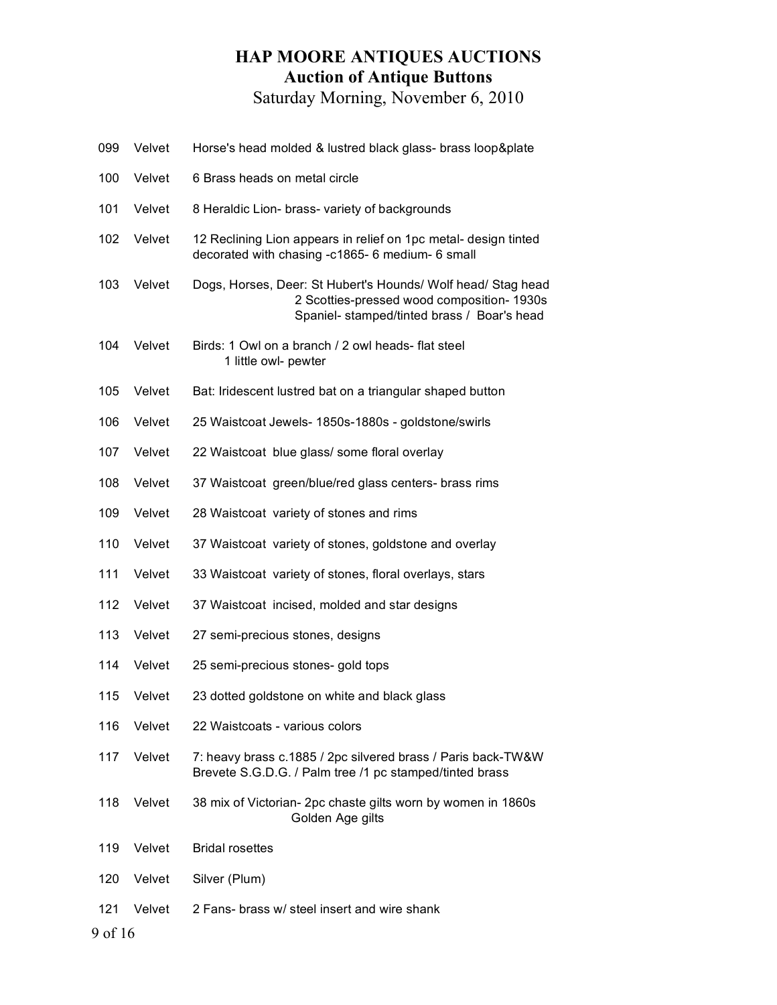| 099     | Velvet | Horse's head molded & lustred black glass- brass loop&plate                                                                                               |
|---------|--------|-----------------------------------------------------------------------------------------------------------------------------------------------------------|
| 100     | Velvet | 6 Brass heads on metal circle                                                                                                                             |
| 101     | Velvet | 8 Heraldic Lion- brass- variety of backgrounds                                                                                                            |
| 102     | Velvet | 12 Reclining Lion appears in relief on 1pc metal- design tinted<br>decorated with chasing -c1865- 6 medium- 6 small                                       |
| 103     | Velvet | Dogs, Horses, Deer: St Hubert's Hounds/ Wolf head/ Stag head<br>2 Scotties-pressed wood composition- 1930s<br>Spaniel- stamped/tinted brass / Boar's head |
| 104     | Velvet | Birds: 1 Owl on a branch / 2 owl heads- flat steel<br>1 little owl- pewter                                                                                |
| 105     | Velvet | Bat: Iridescent lustred bat on a triangular shaped button                                                                                                 |
| 106     | Velvet | 25 Waistcoat Jewels- 1850s-1880s - goldstone/swirls                                                                                                       |
| 107     | Velvet | 22 Waistcoat blue glass/ some floral overlay                                                                                                              |
| 108     | Velvet | 37 Waistcoat green/blue/red glass centers- brass rims                                                                                                     |
| 109     | Velvet | 28 Waistcoat variety of stones and rims                                                                                                                   |
| 110     | Velvet | 37 Waistcoat variety of stones, goldstone and overlay                                                                                                     |
| 111     | Velvet | 33 Waistcoat variety of stones, floral overlays, stars                                                                                                    |
| 112     | Velvet | 37 Waistcoat incised, molded and star designs                                                                                                             |
| 113     | Velvet | 27 semi-precious stones, designs                                                                                                                          |
| 114     | Velvet | 25 semi-precious stones- gold tops                                                                                                                        |
| 115     | Velvet | 23 dotted goldstone on white and black glass                                                                                                              |
| 116     | Velvet | 22 Waistcoats - various colors                                                                                                                            |
| 117     | Velvet | 7: heavy brass c.1885 / 2pc silvered brass / Paris back-TW&W<br>Brevete S.G.D.G. / Palm tree /1 pc stamped/tinted brass                                   |
| 118     | Velvet | 38 mix of Victorian- 2pc chaste gilts worn by women in 1860s<br>Golden Age gilts                                                                          |
| 119     | Velvet | <b>Bridal rosettes</b>                                                                                                                                    |
| 120     | Velvet | Silver (Plum)                                                                                                                                             |
| 121     | Velvet | 2 Fans- brass w/ steel insert and wire shank                                                                                                              |
| 9 of 16 |        |                                                                                                                                                           |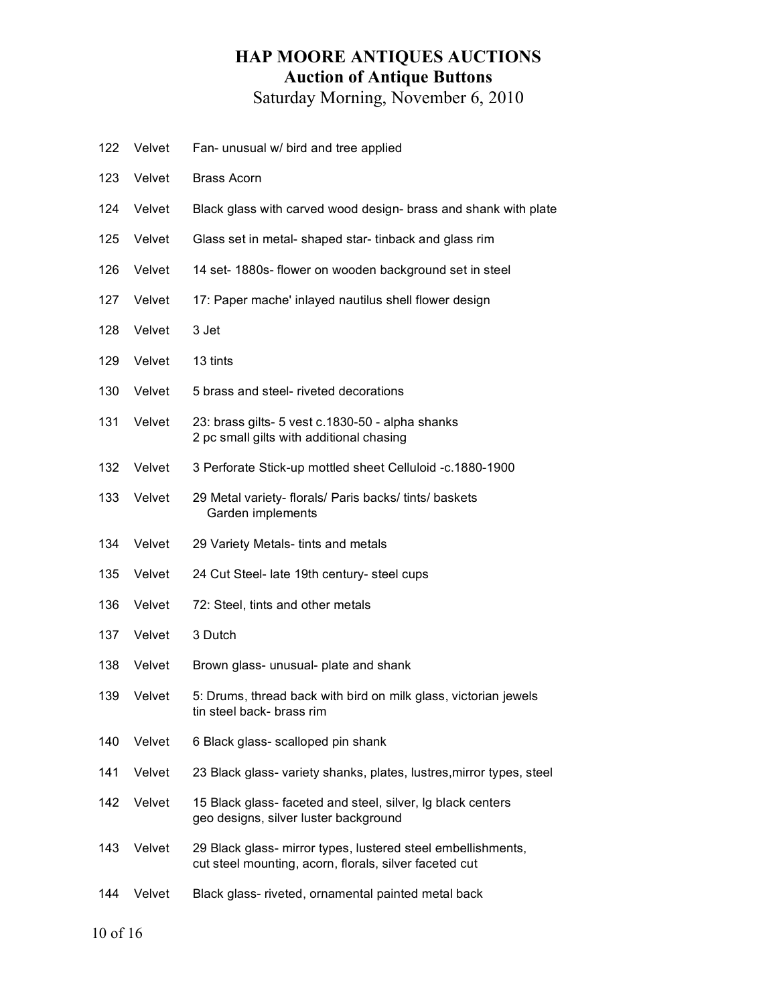- Velvet Fan- unusual w/ bird and tree applied
- Velvet Brass Acorn
- Velvet Black glass with carved wood design- brass and shank with plate
- Velvet Glass set in metal- shaped star- tinback and glass rim
- Velvet 14 set- 1880s- flower on wooden background set in steel
- 127 Velvet 17: Paper mache' inlayed nautilus shell flower design
- Velvet 3 Jet
- Velvet 13 tints
- Velvet 5 brass and steel- riveted decorations
- Velvet 23: brass gilts- 5 vest c.1830-50 alpha shanks 2 pc small gilts with additional chasing
- Velvet 3 Perforate Stick-up mottled sheet Celluloid -c.1880-1900
- Velvet 29 Metal variety- florals/ Paris backs/ tints/ baskets Garden implements
- Velvet 29 Variety Metals- tints and metals
- Velvet 24 Cut Steel- late 19th century- steel cups
- Velvet 72: Steel, tints and other metals
- Velvet 3 Dutch
- 138 Velvet Brown glass- unusual- plate and shank
- Velvet 5: Drums, thread back with bird on milk glass, victorian jewels tin steel back- brass rim
- Velvet 6 Black glass- scalloped pin shank
- Velvet 23 Black glass- variety shanks, plates, lustres,mirror types, steel
- Velvet 15 Black glass- faceted and steel, silver, lg black centers geo designs, silver luster background
- Velvet 29 Black glass- mirror types, lustered steel embellishments, cut steel mounting, acorn, florals, silver faceted cut
- Velvet Black glass- riveted, ornamental painted metal back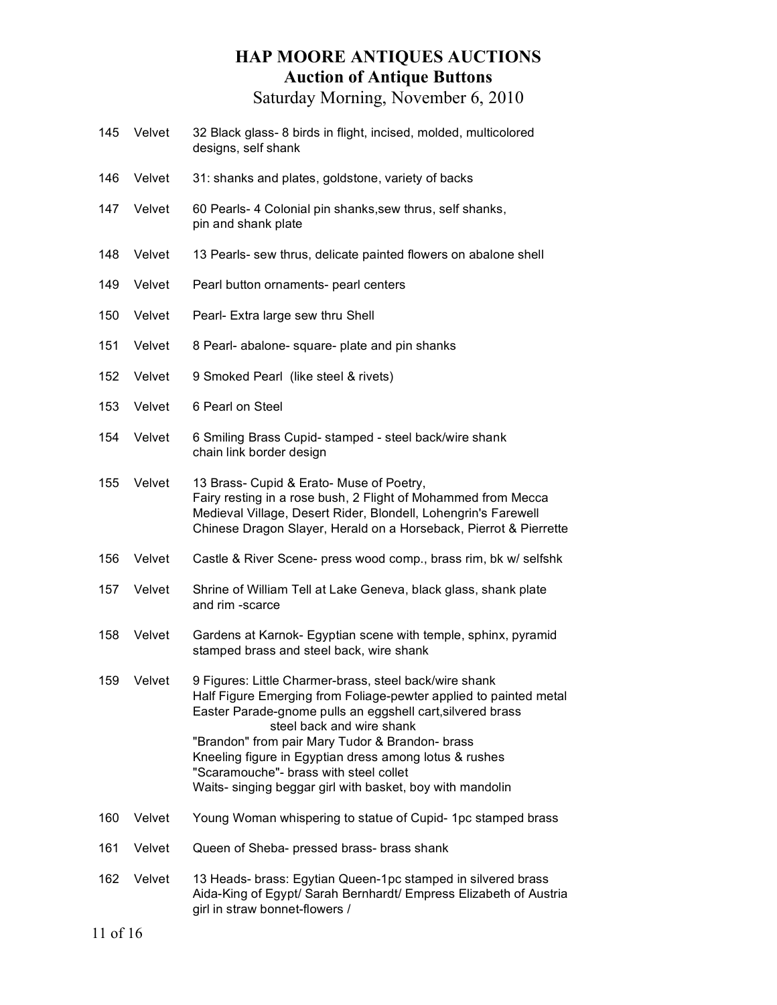- 145 Velvet 32 Black glass- 8 birds in flight, incised, molded, multicolored designs, self shank
- 146 Velvet 31: shanks and plates, goldstone, variety of backs
- 147 Velvet 60 Pearls- 4 Colonial pin shanks,sew thrus, self shanks, pin and shank plate
- 148 Velvet 13 Pearls- sew thrus, delicate painted flowers on abalone shell
- 149 Velvet Pearl button ornaments- pearl centers
- 150 Velvet Pearl- Extra large sew thru Shell
- 151 Velvet 8 Pearl- abalone- square- plate and pin shanks
- 152 Velvet 9 Smoked Pearl (like steel & rivets)
- 153 Velvet 6 Pearl on Steel
- 154 Velvet 6 Smiling Brass Cupid- stamped steel back/wire shank chain link border design
- 155 Velvet 13 Brass- Cupid & Erato- Muse of Poetry, Fairy resting in a rose bush, 2 Flight of Mohammed from Mecca Medieval Village, Desert Rider, Blondell, Lohengrin's Farewell Chinese Dragon Slayer, Herald on a Horseback, Pierrot & Pierrette
- 156 Velvet Castle & River Scene- press wood comp., brass rim, bk w/ selfshk
- 157 Velvet Shrine of William Tell at Lake Geneva, black glass, shank plate and rim -scarce
- 158 Velvet Gardens at Karnok- Egyptian scene with temple, sphinx, pyramid stamped brass and steel back, wire shank
- 159 Velvet 9 Figures: Little Charmer-brass, steel back/wire shank Half Figure Emerging from Foliage-pewter applied to painted metal Easter Parade-gnome pulls an eggshell cart,silvered brass steel back and wire shank "Brandon" from pair Mary Tudor & Brandon- brass Kneeling figure in Egyptian dress among lotus & rushes "Scaramouche"- brass with steel collet Waits- singing beggar girl with basket, boy with mandolin
- 160 Velvet Young Woman whispering to statue of Cupid- 1pc stamped brass
- 161 Velvet Queen of Sheba- pressed brass- brass shank
- 162 Velvet 13 Heads- brass: Egytian Queen-1pc stamped in silvered brass Aida-King of Egypt/ Sarah Bernhardt/ Empress Elizabeth of Austria girl in straw bonnet-flowers /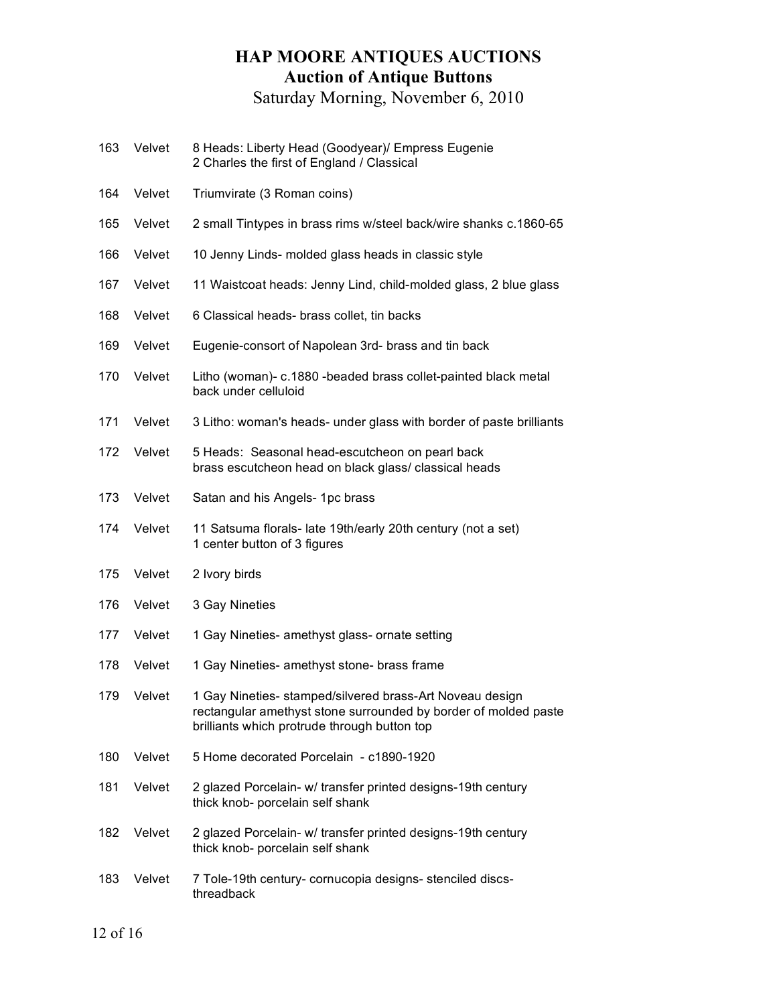- 163 Velvet 8 Heads: Liberty Head (Goodyear)/ Empress Eugenie 2 Charles the first of England / Classical
- 164 Velvet Triumvirate (3 Roman coins)
- 165 Velvet 2 small Tintypes in brass rims w/steel back/wire shanks c.1860-65
- 166 Velvet 10 Jenny Linds- molded glass heads in classic style
- 167 Velvet 11 Waistcoat heads: Jenny Lind, child-molded glass, 2 blue glass
- 168 Velvet 6 Classical heads- brass collet, tin backs
- 169 Velvet Eugenie-consort of Napolean 3rd- brass and tin back
- 170 Velvet Litho (woman)- c.1880 -beaded brass collet-painted black metal back under celluloid
- 171 Velvet 3 Litho: woman's heads- under glass with border of paste brilliants
- 172 Velvet 5 Heads: Seasonal head-escutcheon on pearl back brass escutcheon head on black glass/ classical heads
- 173 Velvet Satan and his Angels- 1pc brass
- 174 Velvet 11 Satsuma florals- late 19th/early 20th century (not a set) 1 center button of 3 figures
- 175 Velvet 2 Ivory birds
- 176 Velvet 3 Gay Nineties
- 177 Velvet 1 Gay Nineties- amethyst glass- ornate setting
- 178 Velvet 1 Gay Nineties- amethyst stone- brass frame
- 179 Velvet 1 Gay Nineties- stamped/silvered brass-Art Noveau design rectangular amethyst stone surrounded by border of molded paste brilliants which protrude through button top
- 180 Velvet 5 Home decorated Porcelain c1890-1920
- 181 Velvet 2 glazed Porcelain- w/ transfer printed designs-19th century thick knob- porcelain self shank
- 182 Velvet 2 glazed Porcelain- w/ transfer printed designs-19th century thick knob- porcelain self shank
- 183 Velvet 7 Tole-19th century- cornucopia designs- stenciled discsthreadback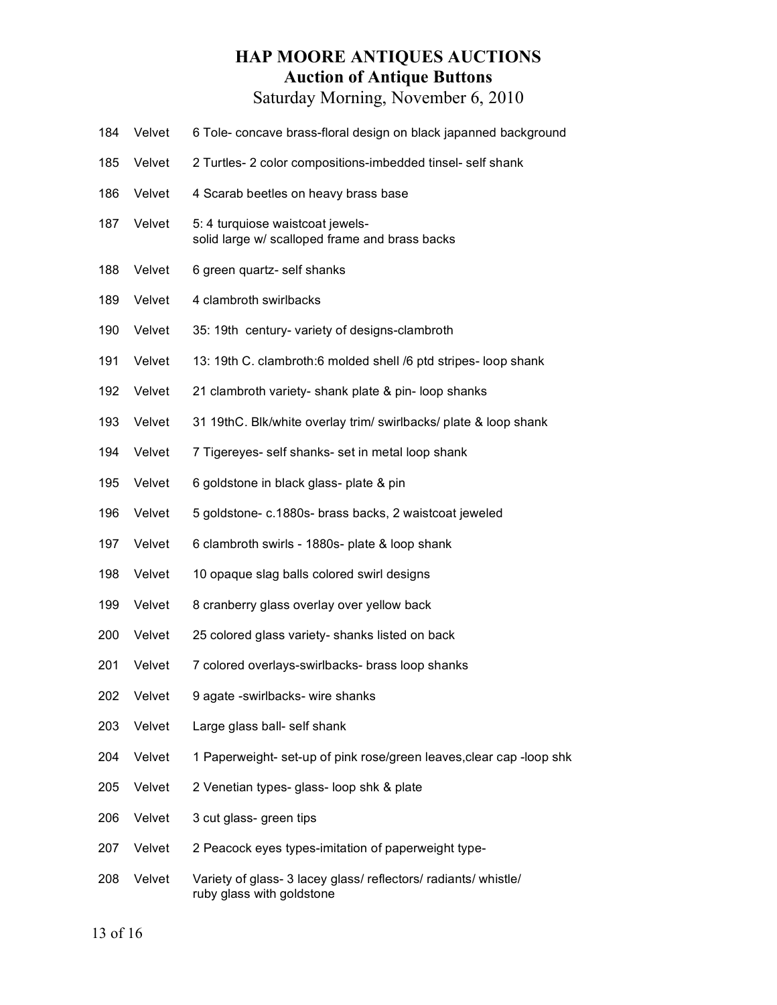- Velvet 6 Tole- concave brass-floral design on black japanned background
- Velvet 2 Turtles- 2 color compositions-imbedded tinsel- self shank
- 186 Velvet 4 Scarab beetles on heavy brass base
- 187 Velvet 5: 4 turquiose waistcoat jewelssolid large w/ scalloped frame and brass backs
- Velvet 6 green quartz- self shanks
- 189 Velvet 4 clambroth swirlbacks
- Velvet 35: 19th century- variety of designs-clambroth
- Velvet 13: 19th C. clambroth:6 molded shell /6 ptd stripes- loop shank
- Velvet 21 clambroth variety- shank plate & pin- loop shanks
- Velvet 31 19thC. Blk/white overlay trim/ swirlbacks/ plate & loop shank
- Velvet 7 Tigereyes- self shanks- set in metal loop shank
- Velvet 6 goldstone in black glass- plate & pin
- Velvet 5 goldstone- c.1880s- brass backs, 2 waistcoat jeweled
- Velvet 6 clambroth swirls 1880s- plate & loop shank
- Velvet 10 opaque slag balls colored swirl designs
- Velvet 8 cranberry glass overlay over yellow back
- Velvet 25 colored glass variety- shanks listed on back
- 201 Velvet 7 colored overlays-swirlbacks- brass loop shanks
- Velvet 9 agate -swirlbacks- wire shanks
- Velvet Large glass ball- self shank
- Velvet 1 Paperweight- set-up of pink rose/green leaves,clear cap -loop shk
- Velvet 2 Venetian types- glass- loop shk & plate
- Velvet 3 cut glass- green tips
- 207 Velvet 2 Peacock eyes types-imitation of paperweight type-
- 208 Velvet Variety of glass- 3 lacey glass/ reflectors/ radiants/ whistle/ ruby glass with goldstone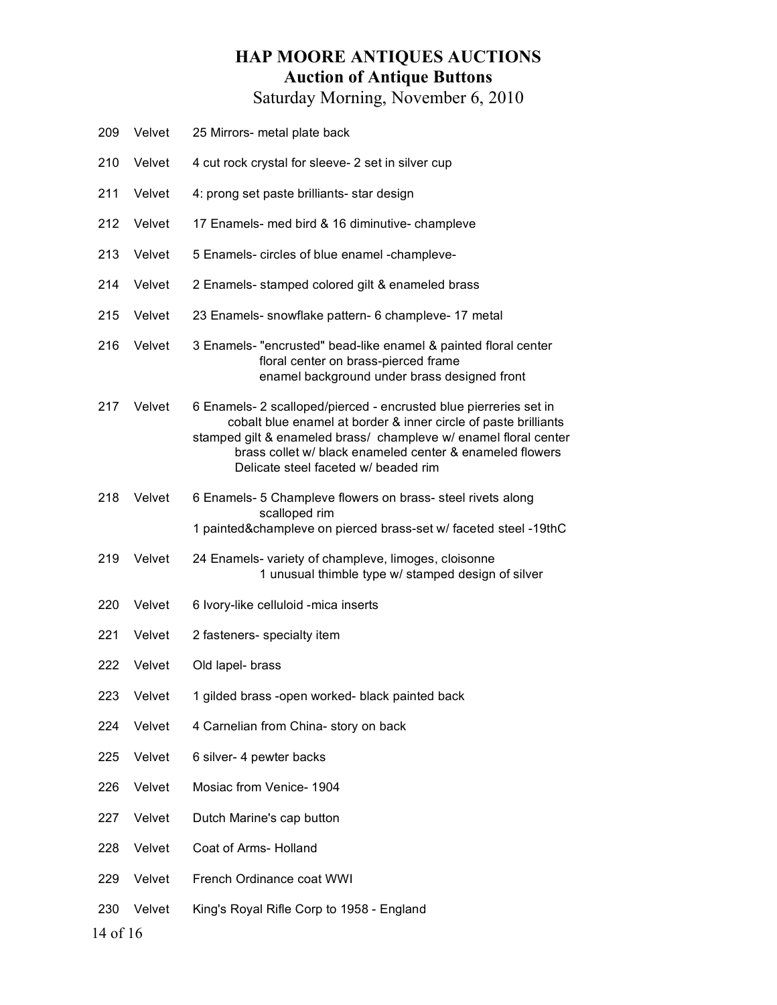| 209             | Velvet | 25 Mirrors- metal plate back                                                                                                                                                                                                                                                                                 |
|-----------------|--------|--------------------------------------------------------------------------------------------------------------------------------------------------------------------------------------------------------------------------------------------------------------------------------------------------------------|
| 210             | Velvet | 4 cut rock crystal for sleeve- 2 set in silver cup                                                                                                                                                                                                                                                           |
| 211             | Velvet | 4: prong set paste brilliants- star design                                                                                                                                                                                                                                                                   |
| 212             | Velvet | 17 Enamels- med bird & 16 diminutive- champleve                                                                                                                                                                                                                                                              |
| 213             | Velvet | 5 Enamels- circles of blue enamel -champleve-                                                                                                                                                                                                                                                                |
| 214             | Velvet | 2 Enamels- stamped colored gilt & enameled brass                                                                                                                                                                                                                                                             |
| 215             | Velvet | 23 Enamels- snowflake pattern- 6 champleve- 17 metal                                                                                                                                                                                                                                                         |
| 216             | Velvet | 3 Enamels- "encrusted" bead-like enamel & painted floral center<br>floral center on brass-pierced frame<br>enamel background under brass designed front                                                                                                                                                      |
| 217             | Velvet | 6 Enamels- 2 scalloped/pierced - encrusted blue pierreries set in<br>cobalt blue enamel at border & inner circle of paste brilliants<br>stamped gilt & enameled brass/ champleve w/ enamel floral center<br>brass collet w/ black enameled center & enameled flowers<br>Delicate steel faceted w/ beaded rim |
| 218             | Velvet | 6 Enamels- 5 Champleve flowers on brass- steel rivets along<br>scalloped rim<br>1 painted&champleve on pierced brass-set w/ faceted steel -19thC                                                                                                                                                             |
| 219             | Velvet | 24 Enamels- variety of champleve, limoges, cloisonne<br>1 unusual thimble type w/ stamped design of silver                                                                                                                                                                                                   |
| 220             | Velvet | 6 Ivory-like celluloid -mica inserts                                                                                                                                                                                                                                                                         |
| 221             | Velvet | 2 fasteners- specialty item                                                                                                                                                                                                                                                                                  |
| 222             | Velvet | Old lapel- brass                                                                                                                                                                                                                                                                                             |
| 223             | Velvet | 1 gilded brass -open worked- black painted back                                                                                                                                                                                                                                                              |
| 224             | Velvet | 4 Carnelian from China- story on back                                                                                                                                                                                                                                                                        |
| 225             | Velvet | 6 silver- 4 pewter backs                                                                                                                                                                                                                                                                                     |
| 226             | Velvet | Mosiac from Venice- 1904                                                                                                                                                                                                                                                                                     |
| 227             | Velvet | Dutch Marine's cap button                                                                                                                                                                                                                                                                                    |
| 228             | Velvet | Coat of Arms- Holland                                                                                                                                                                                                                                                                                        |
| 229             | Velvet | French Ordinance coat WWI                                                                                                                                                                                                                                                                                    |
| 230<br>14 of 16 | Velvet | King's Royal Rifle Corp to 1958 - England                                                                                                                                                                                                                                                                    |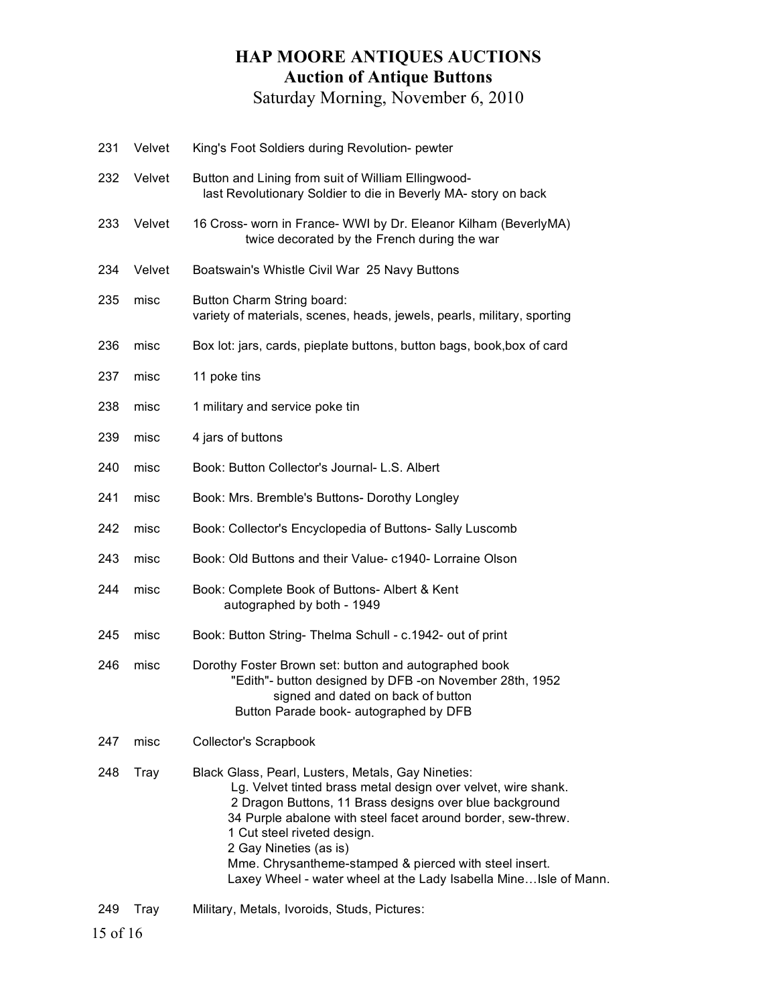| 231 | Velvet | King's Foot Soldiers during Revolution- pewter                                                                                                                                                                                                                                                                                                                                                                                         |
|-----|--------|----------------------------------------------------------------------------------------------------------------------------------------------------------------------------------------------------------------------------------------------------------------------------------------------------------------------------------------------------------------------------------------------------------------------------------------|
| 232 | Velvet | Button and Lining from suit of William Ellingwood-<br>last Revolutionary Soldier to die in Beverly MA- story on back                                                                                                                                                                                                                                                                                                                   |
| 233 | Velvet | 16 Cross- worn in France- WWI by Dr. Eleanor Kilham (BeverlyMA)<br>twice decorated by the French during the war                                                                                                                                                                                                                                                                                                                        |
| 234 | Velvet | Boatswain's Whistle Civil War 25 Navy Buttons                                                                                                                                                                                                                                                                                                                                                                                          |
| 235 | misc   | Button Charm String board:<br>variety of materials, scenes, heads, jewels, pearls, military, sporting                                                                                                                                                                                                                                                                                                                                  |
| 236 | misc   | Box lot: jars, cards, pieplate buttons, button bags, book, box of card                                                                                                                                                                                                                                                                                                                                                                 |
| 237 | misc   | 11 poke tins                                                                                                                                                                                                                                                                                                                                                                                                                           |
| 238 | misc   | 1 military and service poke tin                                                                                                                                                                                                                                                                                                                                                                                                        |
| 239 | misc   | 4 jars of buttons                                                                                                                                                                                                                                                                                                                                                                                                                      |
| 240 | misc   | Book: Button Collector's Journal- L.S. Albert                                                                                                                                                                                                                                                                                                                                                                                          |
| 241 | misc   | Book: Mrs. Bremble's Buttons- Dorothy Longley                                                                                                                                                                                                                                                                                                                                                                                          |
| 242 | misc   | Book: Collector's Encyclopedia of Buttons- Sally Luscomb                                                                                                                                                                                                                                                                                                                                                                               |
| 243 | misc   | Book: Old Buttons and their Value- c1940- Lorraine Olson                                                                                                                                                                                                                                                                                                                                                                               |
| 244 | misc   | Book: Complete Book of Buttons- Albert & Kent<br>autographed by both - 1949                                                                                                                                                                                                                                                                                                                                                            |
| 245 | misc   | Book: Button String- Thelma Schull - c.1942- out of print                                                                                                                                                                                                                                                                                                                                                                              |
| 246 | misc   | Dorothy Foster Brown set: button and autographed book<br>"Edith"- button designed by DFB -on November 28th, 1952<br>signed and dated on back of button<br>Button Parade book- autographed by DFB                                                                                                                                                                                                                                       |
| 247 | misc   | <b>Collector's Scrapbook</b>                                                                                                                                                                                                                                                                                                                                                                                                           |
| 248 | Tray   | Black Glass, Pearl, Lusters, Metals, Gay Nineties:<br>Lg. Velvet tinted brass metal design over velvet, wire shank.<br>2 Dragon Buttons, 11 Brass designs over blue background<br>34 Purple abalone with steel facet around border, sew-threw.<br>1 Cut steel riveted design.<br>2 Gay Nineties (as is)<br>Mme. Chrysantheme-stamped & pierced with steel insert.<br>Laxey Wheel - water wheel at the Lady Isabella Mine Isle of Mann. |
| 249 | Tray   | Military, Metals, Ivoroids, Studs, Pictures:                                                                                                                                                                                                                                                                                                                                                                                           |